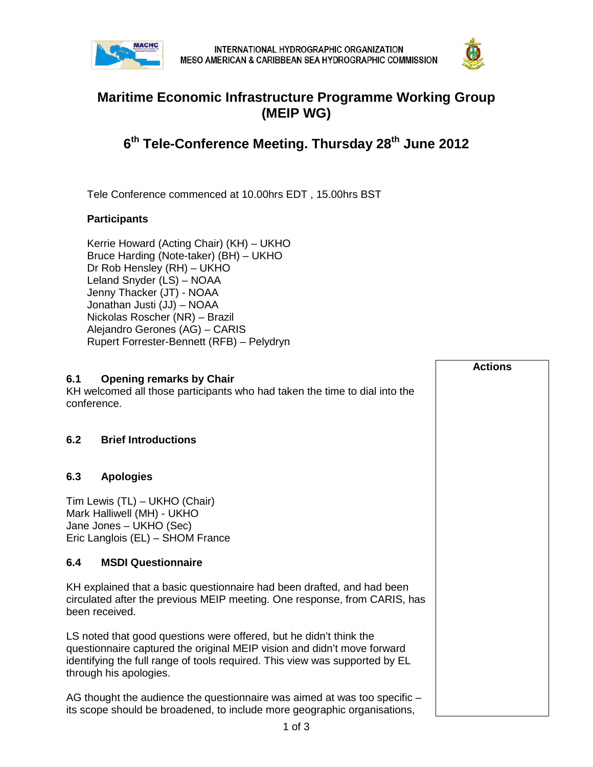



## **Maritime Economic Infrastructure Programme Working Group (MEIP WG)**

## **6th Tele-Conference Meeting. Thursday 28th June 2012**

Tele Conference commenced at 10.00hrs EDT , 15.00hrs BST

## **Participants**

Kerrie Howard (Acting Chair) (KH) – UKHO Bruce Harding (Note-taker) (BH) – UKHO Dr Rob Hensley (RH) – UKHO Leland Snyder (LS) – NOAA Jenny Thacker (JT) - NOAA Jonathan Justi (JJ) – NOAA Nickolas Roscher (NR) – Brazil Alejandro Gerones (AG) – CARIS Rupert Forrester-Bennett (RFB) – Pelydryn

## **6.1 Opening remarks by Chair** KH welcomed all those participants who had taken the time to dial into the conference. **6.2 Brief Introductions 6.3 Apologies** Tim Lewis (TL) – UKHO (Chair) Mark Halliwell (MH) - UKHO Jane Jones – UKHO (Sec) Eric Langlois (EL) – SHOM France **6.4 MSDI Questionnaire** KH explained that a basic questionnaire had been drafted, and had been circulated after the previous MEIP meeting. One response, from CARIS, has been received. LS noted that good questions were offered, but he didn't think the questionnaire captured the original MEIP vision and didn't move forward identifying the full range of tools required. This view was supported by EL through his apologies. AG thought the audience the questionnaire was aimed at was too specific – its scope should be broadened, to include more geographic organisations, **Actions**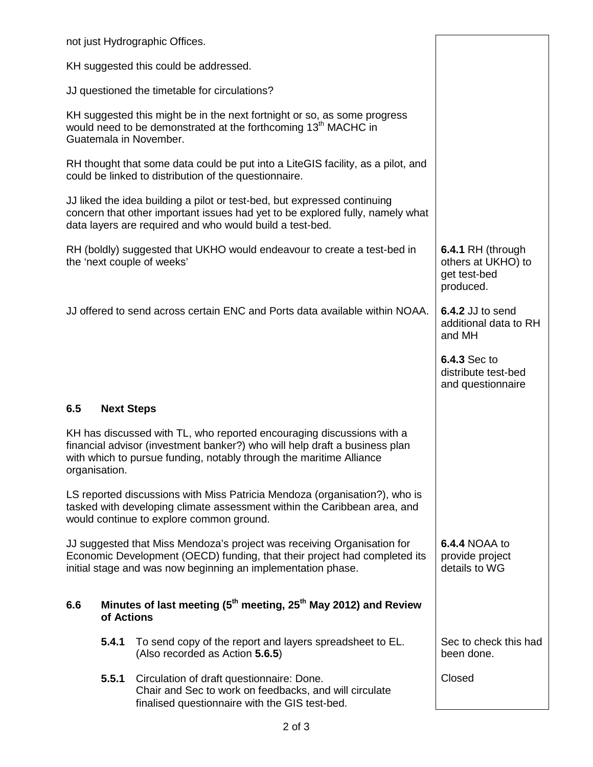| not just Hydrographic Offices.                                                                                                                                                                                                              |                                                                                                                                                       |                                                                      |
|---------------------------------------------------------------------------------------------------------------------------------------------------------------------------------------------------------------------------------------------|-------------------------------------------------------------------------------------------------------------------------------------------------------|----------------------------------------------------------------------|
| KH suggested this could be addressed.                                                                                                                                                                                                       |                                                                                                                                                       |                                                                      |
| JJ questioned the timetable for circulations?                                                                                                                                                                                               |                                                                                                                                                       |                                                                      |
| KH suggested this might be in the next fortnight or so, as some progress<br>would need to be demonstrated at the forthcoming 13 <sup>th</sup> MACHC in<br>Guatemala in November.                                                            |                                                                                                                                                       |                                                                      |
| RH thought that some data could be put into a LiteGIS facility, as a pilot, and<br>could be linked to distribution of the questionnaire.                                                                                                    |                                                                                                                                                       |                                                                      |
| JJ liked the idea building a pilot or test-bed, but expressed continuing<br>concern that other important issues had yet to be explored fully, namely what<br>data layers are required and who would build a test-bed.                       |                                                                                                                                                       |                                                                      |
| RH (boldly) suggested that UKHO would endeavour to create a test-bed in<br>the 'next couple of weeks'                                                                                                                                       |                                                                                                                                                       | 6.4.1 RH (through<br>others at UKHO) to<br>get test-bed<br>produced. |
| JJ offered to send across certain ENC and Ports data available within NOAA.                                                                                                                                                                 |                                                                                                                                                       | 6.4.2 JJ to send<br>additional data to RH<br>and MH                  |
|                                                                                                                                                                                                                                             |                                                                                                                                                       | <b>6.4.3 Sec to</b><br>distribute test-bed<br>and questionnaire      |
| 6.5<br><b>Next Steps</b>                                                                                                                                                                                                                    |                                                                                                                                                       |                                                                      |
| KH has discussed with TL, who reported encouraging discussions with a<br>financial advisor (investment banker?) who will help draft a business plan<br>with which to pursue funding, notably through the maritime Alliance<br>organisation. |                                                                                                                                                       |                                                                      |
| LS reported discussions with Miss Patricia Mendoza (organisation?), who is<br>tasked with developing climate assessment within the Caribbean area, and<br>would continue to explore common ground.                                          |                                                                                                                                                       |                                                                      |
| JJ suggested that Miss Mendoza's project was receiving Organisation for<br>Economic Development (OECD) funding, that their project had completed its<br>initial stage and was now beginning an implementation phase.                        | <b>6.4.4 NOAA to</b><br>provide project<br>details to WG                                                                                              |                                                                      |
| Minutes of last meeting ( $5th$ meeting, 25 <sup>th</sup> May 2012) and Review<br>6.6<br>of Actions                                                                                                                                         |                                                                                                                                                       |                                                                      |
| 5.4.1                                                                                                                                                                                                                                       | To send copy of the report and layers spreadsheet to EL.<br>(Also recorded as Action 5.6.5)                                                           | Sec to check this had<br>been done.                                  |
| 5.5.1                                                                                                                                                                                                                                       | Circulation of draft questionnaire: Done.<br>Chair and Sec to work on feedbacks, and will circulate<br>finalised questionnaire with the GIS test-bed. | Closed                                                               |